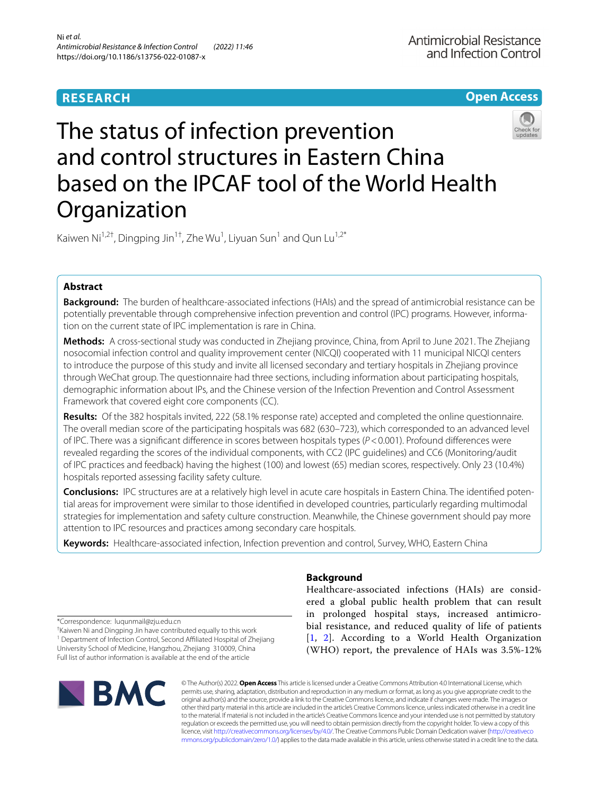# **RESEARCH**

**Open Access**

# The status of infection prevention and control structures in Eastern China based on the IPCAF tool of the World Health **Organization**

Kaiwen Ni<sup>1,2†</sup>, Dingping Jin<sup>1†</sup>, Zhe Wu<sup>1</sup>, Liyuan Sun<sup>1</sup> and Qun Lu<sup>1,2\*</sup>

# **Abstract**

**Background:** The burden of healthcare-associated infections (HAIs) and the spread of antimicrobial resistance can be potentially preventable through comprehensive infection prevention and control (IPC) programs. However, information on the current state of IPC implementation is rare in China.

**Methods:** A cross-sectional study was conducted in Zhejiang province, China, from April to June 2021. The Zhejiang nosocomial infection control and quality improvement center (NICQI) cooperated with 11 municipal NICQI centers to introduce the purpose of this study and invite all licensed secondary and tertiary hospitals in Zhejiang province through WeChat group. The questionnaire had three sections, including information about participating hospitals, demographic information about IPs, and the Chinese version of the Infection Prevention and Control Assessment Framework that covered eight core components (CC).

**Results:** Of the 382 hospitals invited, 222 (58.1% response rate) accepted and completed the online questionnaire. The overall median score of the participating hospitals was 682 (630–723), which corresponded to an advanced level of IPC. There was a signifcant diference in scores between hospitals types (*P*<0.001). Profound diferences were revealed regarding the scores of the individual components, with CC2 (IPC guidelines) and CC6 (Monitoring/audit of IPC practices and feedback) having the highest (100) and lowest (65) median scores, respectively. Only 23 (10.4%) hospitals reported assessing facility safety culture.

**Conclusions:** IPC structures are at a relatively high level in acute care hospitals in Eastern China. The identifed potential areas for improvement were similar to those identifed in developed countries, particularly regarding multimodal strategies for implementation and safety culture construction. Meanwhile, the Chinese government should pay more attention to IPC resources and practices among secondary care hospitals.

**Keywords:** Healthcare-associated infection, Infection prevention and control, Survey, WHO, Eastern China

\*Correspondence: luqunmail@zju.edu.cn

† Kaiwen Ni and Dingping Jin have contributed equally to this work <sup>1</sup> Department of Infection Control, Second Affiliated Hospital of Zhejiang University School of Medicine, Hangzhou, Zhejiang 310009, China Full list of author information is available at the end of the article



# **Background**

Healthcare-associated infections (HAIs) are considered a global public health problem that can result in prolonged hospital stays, increased antimicrobial resistance, and reduced quality of life of patients [[1](#page-6-0), [2\]](#page-6-1). According to a World Health Organization (WHO) report, the prevalence of HAIs was 3.5%-12%

© The Author(s) 2022. **Open Access** This article is licensed under a Creative Commons Attribution 4.0 International License, which permits use, sharing, adaptation, distribution and reproduction in any medium or format, as long as you give appropriate credit to the original author(s) and the source, provide a link to the Creative Commons licence, and indicate if changes were made. The images or other third party material in this article are included in the article's Creative Commons licence, unless indicated otherwise in a credit line to the material. If material is not included in the article's Creative Commons licence and your intended use is not permitted by statutory regulation or exceeds the permitted use, you will need to obtain permission directly from the copyright holder. To view a copy of this licence, visit [http://creativecommons.org/licenses/by/4.0/.](http://creativecommons.org/licenses/by/4.0/) The Creative Commons Public Domain Dedication waiver ([http://creativeco](http://creativecommons.org/publicdomain/zero/1.0/) [mmons.org/publicdomain/zero/1.0/](http://creativecommons.org/publicdomain/zero/1.0/)) applies to the data made available in this article, unless otherwise stated in a credit line to the data.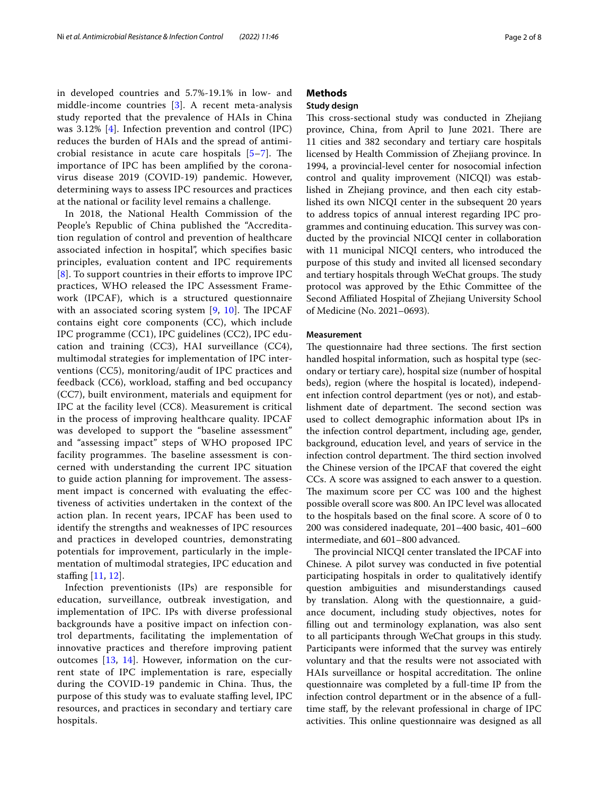in developed countries and 5.7%-19.1% in low- and middle-income countries [[3\]](#page-6-2). A recent meta-analysis study reported that the prevalence of HAIs in China was 3.12% [[4\]](#page-6-3). Infection prevention and control (IPC) reduces the burden of HAIs and the spread of antimicrobial resistance in acute care hospitals  $[5-7]$  $[5-7]$  $[5-7]$ . The importance of IPC has been amplifed by the coronavirus disease 2019 (COVID-19) pandemic. However, determining ways to assess IPC resources and practices at the national or facility level remains a challenge.

In 2018, the National Health Commission of the People's Republic of China published the "Accreditation regulation of control and prevention of healthcare associated infection in hospital", which specifes basic principles, evaluation content and IPC requirements [[8](#page-6-6)]. To support countries in their efforts to improve IPC practices, WHO released the IPC Assessment Framework (IPCAF), which is a structured questionnaire with an associated scoring system  $[9, 10]$  $[9, 10]$  $[9, 10]$ . The IPCAF contains eight core components (CC), which include IPC programme (CC1), IPC guidelines (CC2), IPC education and training (CC3), HAI surveillance (CC4), multimodal strategies for implementation of IPC interventions (CC5), monitoring/audit of IPC practices and feedback (CC6), workload, staffing and bed occupancy (CC7), built environment, materials and equipment for IPC at the facility level (CC8). Measurement is critical in the process of improving healthcare quality. IPCAF was developed to support the "baseline assessment" and "assessing impact" steps of WHO proposed IPC facility programmes. The baseline assessment is concerned with understanding the current IPC situation to guide action planning for improvement. The assessment impact is concerned with evaluating the efectiveness of activities undertaken in the context of the action plan. In recent years, IPCAF has been used to identify the strengths and weaknesses of IPC resources and practices in developed countries, demonstrating potentials for improvement, particularly in the implementation of multimodal strategies, IPC education and staffing [\[11](#page-6-9), [12](#page-6-10)].

Infection preventionists (IPs) are responsible for education, surveillance, outbreak investigation, and implementation of IPC. IPs with diverse professional backgrounds have a positive impact on infection control departments, facilitating the implementation of innovative practices and therefore improving patient outcomes [[13](#page-6-11), [14\]](#page-6-12). However, information on the current state of IPC implementation is rare, especially during the COVID-19 pandemic in China. Thus, the purpose of this study was to evaluate staffing level, IPC resources, and practices in secondary and tertiary care hospitals.

# **Methods**

# **Study design**

This cross-sectional study was conducted in Zhejiang province, China, from April to June 2021. There are 11 cities and 382 secondary and tertiary care hospitals licensed by Health Commission of Zhejiang province. In 1994, a provincial-level center for nosocomial infection control and quality improvement (NICQI) was established in Zhejiang province, and then each city established its own NICQI center in the subsequent 20 years to address topics of annual interest regarding IPC programmes and continuing education. This survey was conducted by the provincial NICQI center in collaboration with 11 municipal NICQI centers, who introduced the purpose of this study and invited all licensed secondary and tertiary hospitals through WeChat groups. The study protocol was approved by the Ethic Committee of the Second Afliated Hospital of Zhejiang University School of Medicine (No. 2021–0693).

#### **Measurement**

The questionnaire had three sections. The first section handled hospital information, such as hospital type (secondary or tertiary care), hospital size (number of hospital beds), region (where the hospital is located), independent infection control department (yes or not), and establishment date of department. The second section was used to collect demographic information about IPs in the infection control department, including age, gender, background, education level, and years of service in the infection control department. The third section involved the Chinese version of the IPCAF that covered the eight CCs. A score was assigned to each answer to a question. The maximum score per CC was 100 and the highest possible overall score was 800. An IPC level was allocated to the hospitals based on the fnal score. A score of 0 to 200 was considered inadequate, 201–400 basic, 401–600 intermediate, and 601–800 advanced.

The provincial NICQI center translated the IPCAF into Chinese. A pilot survey was conducted in fve potential participating hospitals in order to qualitatively identify question ambiguities and misunderstandings caused by translation. Along with the questionnaire, a guidance document, including study objectives, notes for flling out and terminology explanation, was also sent to all participants through WeChat groups in this study. Participants were informed that the survey was entirely voluntary and that the results were not associated with HAIs surveillance or hospital accreditation. The online questionnaire was completed by a full-time IP from the infection control department or in the absence of a fulltime staf, by the relevant professional in charge of IPC activities. This online questionnaire was designed as all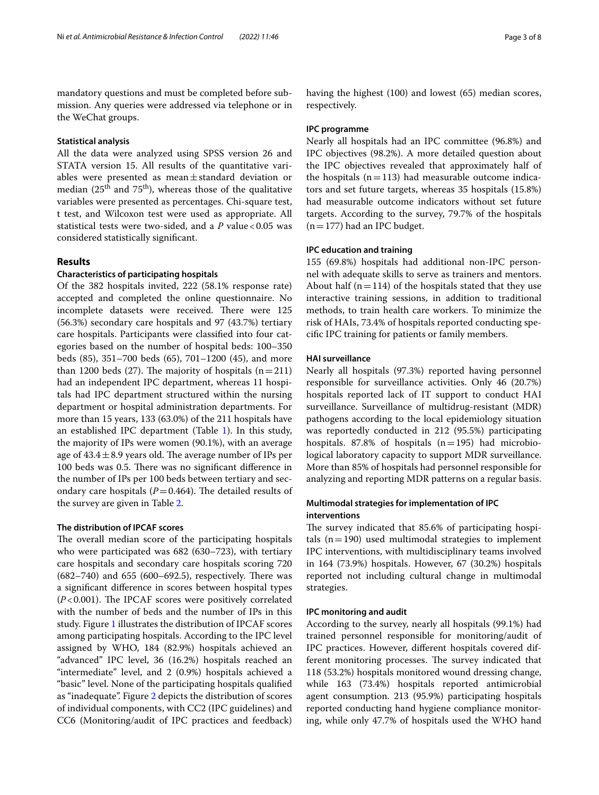mandatory questions and must be completed before submission. Any queries were addressed via telephone or in the WeChat groups.

#### **Statistical analysis**

All the data were analyzed using SPSS version 26 and STATA version 15. All results of the quantitative variables were presented as mean±standard deviation or median ( $25<sup>th</sup>$  and  $75<sup>th</sup>$ ), whereas those of the qualitative variables were presented as percentages. Chi-square test, t test, and Wilcoxon test were used as appropriate. All statistical tests were two-sided, and a *P* value <0.05 was considered statistically signifcant.

# **Results**

## **Characteristics of participating hospitals**

Of the 382 hospitals invited, 222 (58.1% response rate) accepted and completed the online questionnaire. No incomplete datasets were received. There were 125 (56.3%) secondary care hospitals and 97 (43.7%) tertiary care hospitals. Participants were classifed into four categories based on the number of hospital beds: 100–350 beds (85), 351–700 beds (65), 701–1200 (45), and more than 1200 beds (27). The majority of hospitals  $(n=211)$ had an independent IPC department, whereas 11 hospitals had IPC department structured within the nursing department or hospital administration departments. For more than 15 years, 133 (63.0%) of the 211 hospitals have an established IPC department (Table [1\)](#page-3-0). In this study, the majority of IPs were women (90.1%), with an average age of  $43.4 \pm 8.9$  years old. The average number of IPs per 100 beds was 0.5. There was no significant difference in the number of IPs per 100 beds between tertiary and secondary care hospitals  $(P=0.464)$ . The detailed results of the survey are given in Table [2](#page-4-0).

#### **The distribution of IPCAF scores**

The overall median score of the participating hospitals who were participated was 682 (630–723), with tertiary care hospitals and secondary care hospitals scoring 720  $(682–740)$  and  $655$   $(600–692.5)$ , respectively. There was a signifcant diference in scores between hospital types  $(P<0.001)$ . The IPCAF scores were positively correlated with the number of beds and the number of IPs in this study. Figure [1](#page-4-1) illustrates the distribution of IPCAF scores among participating hospitals. According to the IPC level assigned by WHO, 184 (82.9%) hospitals achieved an "advanced" IPC level, 36 (16.2%) hospitals reached an "intermediate" level, and 2 (0.9%) hospitals achieved a "basic" level. None of the participating hospitals qualifed as "inadequate". Figure [2](#page-4-2) depicts the distribution of scores of individual components, with CC2 (IPC guidelines) and CC6 (Monitoring/audit of IPC practices and feedback) having the highest (100) and lowest (65) median scores, respectively.

#### **IPC programme**

Nearly all hospitals had an IPC committee (96.8%) and IPC objectives (98.2%). A more detailed question about the IPC objectives revealed that approximately half of the hospitals  $(n=113)$  had measurable outcome indicators and set future targets, whereas 35 hospitals (15.8%) had measurable outcome indicators without set future targets. According to the survey, 79.7% of the hospitals  $(n=177)$  had an IPC budget.

### **IPC education and training**

155 (69.8%) hospitals had additional non-IPC personnel with adequate skills to serve as trainers and mentors. About half ( $n=114$ ) of the hospitals stated that they use interactive training sessions, in addition to traditional methods, to train health care workers. To minimize the risk of HAIs, 73.4% of hospitals reported conducting specifc IPC training for patients or family members.

#### **HAI surveillance**

Nearly all hospitals (97.3%) reported having personnel responsible for surveillance activities. Only 46 (20.7%) hospitals reported lack of IT support to conduct HAI surveillance. Surveillance of multidrug-resistant (MDR) pathogens according to the local epidemiology situation was reportedly conducted in 212 (95.5%) participating hospitals. 87.8% of hospitals  $(n=195)$  had microbiological laboratory capacity to support MDR surveillance. More than 85% of hospitals had personnel responsible for analyzing and reporting MDR patterns on a regular basis.

# **Multimodal strategies for implementation of IPC interventions**

The survey indicated that 85.6% of participating hospitals  $(n=190)$  used multimodal strategies to implement IPC interventions, with multidisciplinary teams involved in 164 (73.9%) hospitals. However, 67 (30.2%) hospitals reported not including cultural change in multimodal strategies.

#### **IPC monitoring and audit**

According to the survey, nearly all hospitals (99.1%) had trained personnel responsible for monitoring/audit of IPC practices. However, diferent hospitals covered different monitoring processes. The survey indicated that 118 (53.2%) hospitals monitored wound dressing change, while 163 (73.4%) hospitals reported antimicrobial agent consumption. 213 (95.9%) participating hospitals reported conducting hand hygiene compliance monitoring, while only 47.7% of hospitals used the WHO hand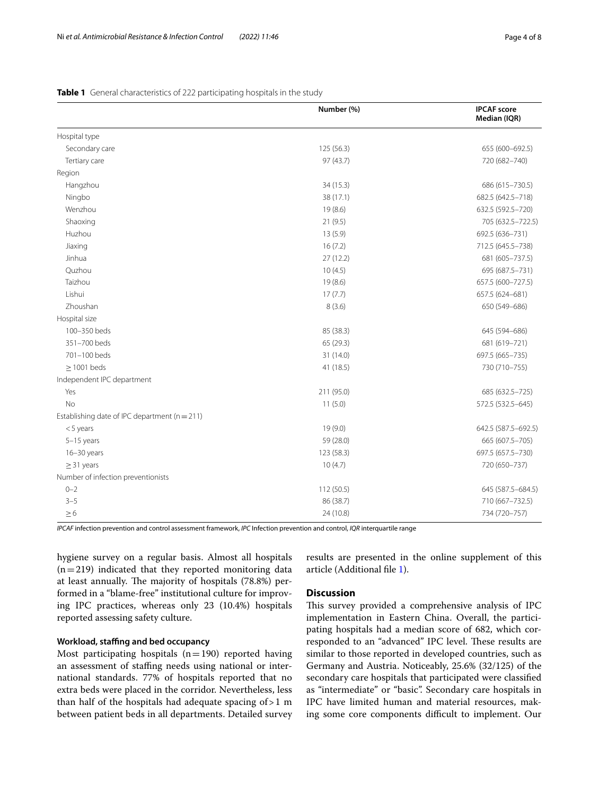|                                                   | Number (%) | <b>IPCAF</b> score<br>Median (IQR) |
|---------------------------------------------------|------------|------------------------------------|
| Hospital type                                     |            |                                    |
| Secondary care                                    | 125 (56.3) | 655 (600-692.5)                    |
| Tertiary care                                     | 97 (43.7)  | 720 (682-740)                      |
| Region                                            |            |                                    |
| Hangzhou                                          | 34 (15.3)  | 686 (615-730.5)                    |
| Ningbo                                            | 38 (17.1)  | 682.5 (642.5-718)                  |
| Wenzhou                                           | 19(8.6)    | 632.5 (592.5-720)                  |
| Shaoxing                                          | 21(9.5)    | 705 (632.5-722.5)                  |
| Huzhou                                            | 13(5.9)    | 692.5 (636-731)                    |
| Jiaxing                                           | 16(7.2)    | 712.5 (645.5-738)                  |
| Jinhua                                            | 27(12.2)   | 681 (605-737.5)                    |
| Quzhou                                            | 10(4.5)    | 695 (687.5-731)                    |
| Taizhou                                           | 19(8.6)    | 657.5 (600-727.5)                  |
| Lishui                                            | 17(7.7)    | 657.5 (624-681)                    |
| Zhoushan                                          | 8(3.6)     | 650 (549-686)                      |
| Hospital size                                     |            |                                    |
| 100-350 beds                                      | 85 (38.3)  | 645 (594-686)                      |
| 351-700 beds                                      | 65 (29.3)  | 681 (619-721)                      |
| 701-100 beds                                      | 31 (14.0)  | 697.5 (665-735)                    |
| $\geq$ 1001 beds                                  | 41 (18.5)  | 730 (710-755)                      |
| Independent IPC department                        |            |                                    |
| Yes                                               | 211 (95.0) | 685 (632.5-725)                    |
| <b>No</b>                                         | 11(5.0)    | 572.5 (532.5-645)                  |
| Establishing date of IPC department ( $n = 211$ ) |            |                                    |
| $<$ 5 years                                       | 19 (9.0)   | 642.5 (587.5-692.5)                |
| $5-15$ years                                      | 59 (28.0)  | 665 (607.5-705)                    |
| 16-30 years                                       | 123 (58.3) | 697.5 (657.5-730)                  |
| $\geq$ 31 years                                   | 10(4.7)    | 720 (650-737)                      |
| Number of infection preventionists                |            |                                    |
| $0 - 2$                                           | 112 (50.5) | 645 (587.5 - 684.5)                |
| $3 - 5$                                           | 86 (38.7)  | 710 (667-732.5)                    |
| $\geq 6$                                          | 24 (10.8)  | 734 (720-757)                      |

<span id="page-3-0"></span>**Table 1** General characteristics of 222 participating hospitals in the study

*IPCAF* infection prevention and control assessment framework, *IPC* Infection prevention and control, *IQR* interquartile range

hygiene survey on a regular basis. Almost all hospitals  $(n=219)$  indicated that they reported monitoring data at least annually. The majority of hospitals (78.8%) performed in a "blame-free" institutional culture for improving IPC practices, whereas only 23 (10.4%) hospitals reported assessing safety culture.

# **Workload, stafng and bed occupancy**

Most participating hospitals  $(n=190)$  reported having an assessment of staffing needs using national or international standards. 77% of hospitals reported that no extra beds were placed in the corridor. Nevertheless, less than half of the hospitals had adequate spacing of>1 m between patient beds in all departments. Detailed survey results are presented in the online supplement of this article (Additional fle [1](#page-6-13)).

## **Discussion**

This survey provided a comprehensive analysis of IPC implementation in Eastern China. Overall, the participating hospitals had a median score of 682, which corresponded to an "advanced" IPC level. These results are similar to those reported in developed countries, such as Germany and Austria. Noticeably, 25.6% (32/125) of the secondary care hospitals that participated were classifed as "intermediate" or "basic". Secondary care hospitals in IPC have limited human and material resources, making some core components difficult to implement. Our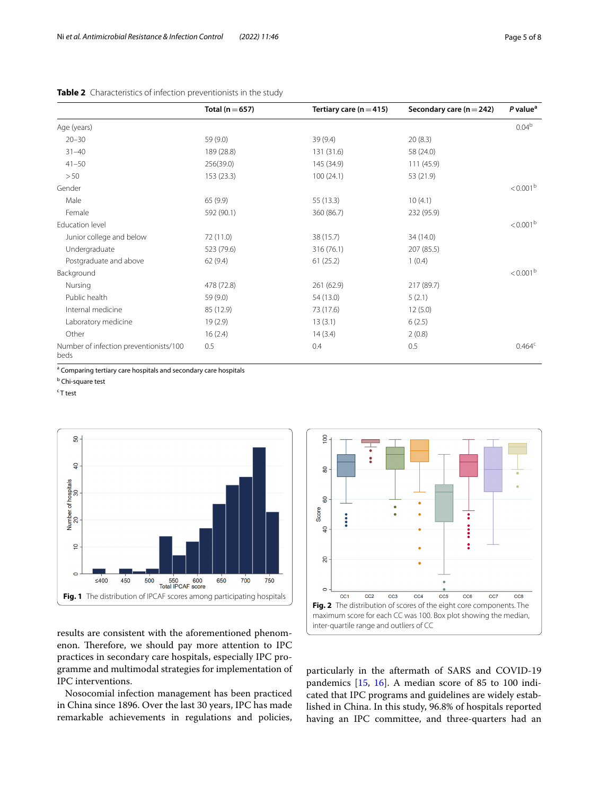<span id="page-4-0"></span>

|                                                | Total ( $n = 657$ ) | Tertiary care ( $n = 415$ ) | Secondary care ( $n = 242$ ) | P value <sup>a</sup> |
|------------------------------------------------|---------------------|-----------------------------|------------------------------|----------------------|
| Age (years)                                    |                     |                             |                              | 0.04 <sup>b</sup>    |
| $20 - 30$                                      | 59 (9.0)            | 39(9.4)                     | 20(8.3)                      |                      |
| $31 - 40$                                      | 189 (28.8)          | 131 (31.6)                  | 58 (24.0)                    |                      |
| $41 - 50$                                      | 256(39.0)           | 145 (34.9)                  | 111(45.9)                    |                      |
| >50                                            | 153(23.3)           | 100(24.1)                   | 53 (21.9)                    |                      |
| Gender                                         |                     |                             |                              | $< 0.001^{\rm b}$    |
| Male                                           | 65(9.9)             | 55 (13.3)                   | 10(4.1)                      |                      |
| Female                                         | 592 (90.1)          | 360 (86.7)                  | 232 (95.9)                   |                      |
| Education level                                |                     |                             |                              | < 0.001 <sup>b</sup> |
| Junior college and below                       | 72 (11.0)           | 38 (15.7)                   | 34 (14.0)                    |                      |
| Undergraduate                                  | 523 (79.6)          | 316(76.1)                   | 207(85.5)                    |                      |
| Postgraduate and above                         | 62(9.4)             | 61(25.2)                    | 1(0.4)                       |                      |
| Background                                     |                     |                             |                              | < 0.001 <sup>b</sup> |
| Nursing                                        | 478 (72.8)          | 261 (62.9)                  | 217 (89.7)                   |                      |
| Public health                                  | 59 (9.0)            | 54 (13.0)                   | 5(2.1)                       |                      |
| Internal medicine                              | 85 (12.9)           | 73 (17.6)                   | 12(5.0)                      |                      |
| Laboratory medicine                            | 19(2.9)             | 13(3.1)                     | 6(2.5)                       |                      |
| Other                                          | 16(2.4)             | 14(3.4)                     | 2(0.8)                       |                      |
| Number of infection preventionists/100<br>beds | 0.5                 | 0.4                         | 0.5                          | $0.464^c$            |

<sup>a</sup> Comparing tertiary care hospitals and secondary care hospitals

<sup>b</sup> Chi-square test

<sup>c</sup> T test



<span id="page-4-1"></span>results are consistent with the aforementioned phenomenon. Therefore, we should pay more attention to IPC practices in secondary care hospitals, especially IPC programme and multimodal strategies for implementation of IPC interventions.

Nosocomial infection management has been practiced in China since 1896. Over the last 30 years, IPC has made remarkable achievements in regulations and policies,



<span id="page-4-2"></span>particularly in the aftermath of SARS and COVID-19 pandemics [\[15,](#page-6-14) [16\]](#page-6-15). A median score of 85 to 100 indicated that IPC programs and guidelines are widely established in China. In this study, 96.8% of hospitals reported having an IPC committee, and three-quarters had an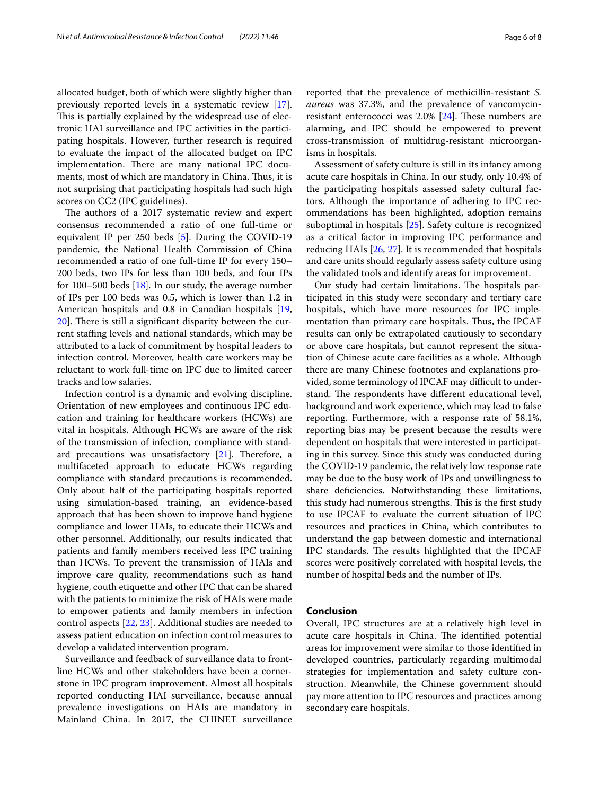allocated budget, both of which were slightly higher than previously reported levels in a systematic review [\[17](#page-6-16)]. This is partially explained by the widespread use of electronic HAI surveillance and IPC activities in the participating hospitals. However, further research is required to evaluate the impact of the allocated budget on IPC implementation. There are many national IPC documents, most of which are mandatory in China. Thus, it is not surprising that participating hospitals had such high scores on CC2 (IPC guidelines).

The authors of a 2017 systematic review and expert consensus recommended a ratio of one full-time or equivalent IP per 250 beds [[5\]](#page-6-4). During the COVID-19 pandemic, the National Health Commission of China recommended a ratio of one full-time IP for every 150– 200 beds, two IPs for less than 100 beds, and four IPs for 100–500 beds [[18\]](#page-6-17). In our study, the average number of IPs per 100 beds was 0.5, which is lower than 1.2 in American hospitals and 0.8 in Canadian hospitals [\[19](#page-6-18),  $20$ ]. There is still a significant disparity between the current stafng levels and national standards, which may be attributed to a lack of commitment by hospital leaders to infection control. Moreover, health care workers may be reluctant to work full-time on IPC due to limited career tracks and low salaries.

Infection control is a dynamic and evolving discipline. Orientation of new employees and continuous IPC education and training for healthcare workers (HCWs) are vital in hospitals. Although HCWs are aware of the risk of the transmission of infection, compliance with standard precautions was unsatisfactory  $[21]$  $[21]$ . Therefore, a multifaceted approach to educate HCWs regarding compliance with standard precautions is recommended. Only about half of the participating hospitals reported using simulation-based training, an evidence-based approach that has been shown to improve hand hygiene compliance and lower HAIs, to educate their HCWs and other personnel. Additionally, our results indicated that patients and family members received less IPC training than HCWs. To prevent the transmission of HAIs and improve care quality, recommendations such as hand hygiene, couth etiquette and other IPC that can be shared with the patients to minimize the risk of HAIs were made to empower patients and family members in infection control aspects [[22,](#page-6-21) [23](#page-6-22)]. Additional studies are needed to assess patient education on infection control measures to develop a validated intervention program.

Surveillance and feedback of surveillance data to frontline HCWs and other stakeholders have been a cornerstone in IPC program improvement. Almost all hospitals reported conducting HAI surveillance, because annual prevalence investigations on HAIs are mandatory in Mainland China. In 2017, the CHINET surveillance reported that the prevalence of methicillin-resistant *S. aureus* was 37.3%, and the prevalence of vancomycinresistant enterococci was  $2.0\%$  [[24](#page-6-23)]. These numbers are alarming, and IPC should be empowered to prevent cross-transmission of multidrug-resistant microorganisms in hospitals.

Assessment of safety culture is still in its infancy among acute care hospitals in China. In our study, only 10.4% of the participating hospitals assessed safety cultural factors. Although the importance of adhering to IPC recommendations has been highlighted, adoption remains suboptimal in hospitals [[25\]](#page-6-24). Safety culture is recognized as a critical factor in improving IPC performance and reducing HAIs [\[26,](#page-7-0) [27\]](#page-7-1). It is recommended that hospitals and care units should regularly assess safety culture using the validated tools and identify areas for improvement.

Our study had certain limitations. The hospitals participated in this study were secondary and tertiary care hospitals, which have more resources for IPC implementation than primary care hospitals. Thus, the IPCAF results can only be extrapolated cautiously to secondary or above care hospitals, but cannot represent the situation of Chinese acute care facilities as a whole. Although there are many Chinese footnotes and explanations provided, some terminology of IPCAF may difficult to understand. The respondents have different educational level, background and work experience, which may lead to false reporting. Furthermore, with a response rate of 58.1%, reporting bias may be present because the results were dependent on hospitals that were interested in participating in this survey. Since this study was conducted during the COVID-19 pandemic, the relatively low response rate may be due to the busy work of IPs and unwillingness to share defciencies. Notwithstanding these limitations, this study had numerous strengths. This is the first study to use IPCAF to evaluate the current situation of IPC resources and practices in China, which contributes to understand the gap between domestic and international IPC standards. The results highlighted that the IPCAF scores were positively correlated with hospital levels, the number of hospital beds and the number of IPs.

### **Conclusion**

Overall, IPC structures are at a relatively high level in acute care hospitals in China. The identified potential areas for improvement were similar to those identifed in developed countries, particularly regarding multimodal strategies for implementation and safety culture construction. Meanwhile, the Chinese government should pay more attention to IPC resources and practices among secondary care hospitals.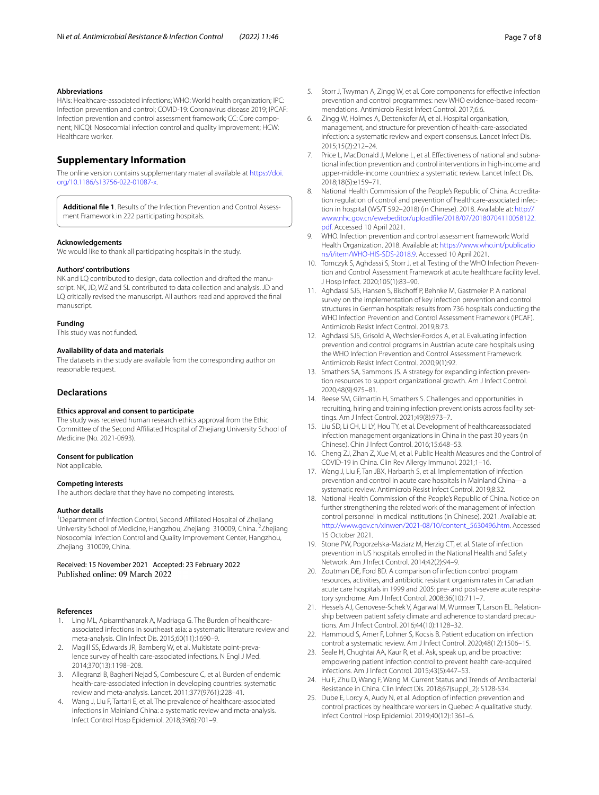#### **Abbreviations**

HAIs: Healthcare-associated infections; WHO: World health organization; IPC: Infection prevention and control; COVID-19: Coronavirus disease 2019; IPCAF: Infection prevention and control assessment framework; CC: Core component; NICQI: Nosocomial infection control and quality improvement; HCW: Healthcare worker.

# **Supplementary Information**

The online version contains supplementary material available at [https://doi.](https://doi.org/10.1186/s13756-022-01087-x) [org/10.1186/s13756-022-01087-x.](https://doi.org/10.1186/s13756-022-01087-x)

<span id="page-6-13"></span>**Additional fle 1**. Results of the Infection Prevention and Control Assessment Framework in 222 participating hospitals.

#### **Acknowledgements**

We would like to thank all participating hospitals in the study.

#### **Authors' contributions**

NK and LQ contributed to design, data collection and drafted the manuscript. NK, JD, WZ and SL contributed to data collection and analysis. JD and LQ critically revised the manuscript. All authors read and approved the fnal manuscript.

#### **Funding**

This study was not funded.

#### **Availability of data and materials**

The datasets in the study are available from the corresponding author on reasonable request.

### **Declarations**

#### **Ethics approval and consent to participate**

The study was received human research ethics approval from the Ethic Committee of the Second Afliated Hospital of Zhejiang University School of Medicine (No. 2021-0693).

#### **Consent for publication**

Not applicable.

#### **Competing interests**

The authors declare that they have no competing interests.

#### **Author details**

<sup>1</sup> Department of Infection Control, Second Affiliated Hospital of Zhejiang University School of Medicine, Hangzhou, Zhejiang 310009, China. <sup>2</sup>Zhejiang Nosocomial Infection Control and Quality Improvement Center, Hangzhou, Zhejiang 310009, China.

Received: 15 November 2021 Accepted: 23 February 2022

#### **References**

- <span id="page-6-0"></span>1. Ling ML, Apisarnthanarak A, Madriaga G. The Burden of healthcareassociated infections in southeast asia: a systematic literature review and meta-analysis. Clin Infect Dis. 2015;60(11):1690–9.
- <span id="page-6-1"></span>2. Magill SS, Edwards JR, Bamberg W, et al. Multistate point-prevalence survey of health care-associated infections. N Engl J Med. 2014;370(13):1198–208.
- <span id="page-6-2"></span>3. Allegranzi B, Bagheri Nejad S, Combescure C, et al. Burden of endemic health-care-associated infection in developing countries: systematic review and meta-analysis. Lancet. 2011;377(9761):228–41.
- <span id="page-6-3"></span>4. Wang J, Liu F, Tartari E, et al. The prevalence of healthcare-associated infections in Mainland China: a systematic review and meta-analysis. Infect Control Hosp Epidemiol. 2018;39(6):701–9.
- <span id="page-6-4"></span>5. Storr J, Twyman A, Zingg W, et al. Core components for efective infection prevention and control programmes: new WHO evidence-based recommendations. Antimicrob Resist Infect Control. 2017;6:6.
- 6. Zingg W, Holmes A, Dettenkofer M, et al. Hospital organisation, management, and structure for prevention of health-care-associated infection: a systematic review and expert consensus. Lancet Infect Dis. 2015;15(2):212–24.
- <span id="page-6-5"></span>7. Price L, MacDonald J, Melone L, et al. Efectiveness of national and subnational infection prevention and control interventions in high-income and upper-middle-income countries: a systematic review. Lancet Infect Dis. 2018;18(5):e159–71.
- <span id="page-6-6"></span>8. National Health Commission of the People's Republic of China. Accreditation regulation of control and prevention of healthcare-associated infection in hospital (WS/T 592–2018) (in Chinese). 2018. Available at: [http://](http://www.nhc.gov.cn/ewebeditor/uploadfile/2018/07/20180704110058122.pdf) [www.nhc.gov.cn/ewebeditor/uploadfle/2018/07/20180704110058122.](http://www.nhc.gov.cn/ewebeditor/uploadfile/2018/07/20180704110058122.pdf) [pdf.](http://www.nhc.gov.cn/ewebeditor/uploadfile/2018/07/20180704110058122.pdf) Accessed 10 April 2021.
- <span id="page-6-7"></span>9. WHO. Infection prevention and control assessment framework: World Health Organization. 2018. Available at: [https://www.who.int/publicatio](https://www.who.int/publications/i/item/WHO-HIS-SDS-2018.9) [ns/i/item/WHO-HIS-SDS-2018.9.](https://www.who.int/publications/i/item/WHO-HIS-SDS-2018.9) Accessed 10 April 2021.
- <span id="page-6-8"></span>10. Tomczyk S, Aghdassi S, Storr J, et al. Testing of the WHO Infection Prevention and Control Assessment Framework at acute healthcare facility level. J Hosp Infect. 2020;105(1):83–90.
- <span id="page-6-9"></span>11. Aghdassi SJS, Hansen S, Bischoff P, Behnke M, Gastmeier P. A national survey on the implementation of key infection prevention and control structures in German hospitals: results from 736 hospitals conducting the WHO Infection Prevention and Control Assessment Framework (IPCAF). Antimicrob Resist Infect Control. 2019;8:73.
- <span id="page-6-10"></span>12. Aghdassi SJS, Grisold A, Wechsler-Fordos A, et al. Evaluating infection prevention and control programs in Austrian acute care hospitals using the WHO Infection Prevention and Control Assessment Framework. Antimicrob Resist Infect Control. 2020;9(1):92.
- <span id="page-6-11"></span>13. Smathers SA, Sammons JS. A strategy for expanding infection prevention resources to support organizational growth. Am J Infect Control. 2020;48(9):975–81.
- <span id="page-6-12"></span>14. Reese SM, Gilmartin H, Smathers S. Challenges and opportunities in recruiting, hiring and training infection preventionists across facility settings. Am J Infect Control. 2021;49(8):973–7.
- <span id="page-6-14"></span>15. Liu SD, Li CH, Li LY, Hou TY, et al. Development of healthcareassociated infection management organizations in China in the past 30 years (in Chinese). Chin J Infect Control. 2016;15:648–53.
- <span id="page-6-15"></span>16. Cheng ZJ, Zhan Z, Xue M, et al. Public Health Measures and the Control of COVID-19 in China. Clin Rev Allergy Immunol. 2021;1–16.
- <span id="page-6-16"></span>17. Wang J, Liu F, Tan JBX, Harbarth S, et al. Implementation of infection prevention and control in acute care hospitals in Mainland China systematic review. Antimicrob Resist Infect Control. 2019;8:32.
- <span id="page-6-17"></span>18. National Health Commission of the People's Republic of China. Notice on further strengthening the related work of the management of infection control personnel in medical institutions (in Chinese). 2021. Available at: [http://www.gov.cn/xinwen/2021-08/10/content\\_5630496.htm.](http://www.gov.cn/xinwen/2021-08/10/content_5630496.htm) Accessed 15 October 2021.
- <span id="page-6-18"></span>19. Stone PW, Pogorzelska-Maziarz M, Herzig CT, et al. State of infection prevention in US hospitals enrolled in the National Health and Safety Network. Am J Infect Control. 2014;42(2):94–9.
- <span id="page-6-19"></span>20. Zoutman DE, Ford BD. A comparison of infection control program resources, activities, and antibiotic resistant organism rates in Canadian acute care hospitals in 1999 and 2005: pre- and post-severe acute respiratory syndrome. Am J Infect Control. 2008;36(10):711–7.
- <span id="page-6-20"></span>21. Hessels AJ, Genovese-Schek V, Agarwal M, Wurmser T, Larson EL. Relationship between patient safety climate and adherence to standard precautions. Am J Infect Control. 2016;44(10):1128–32.
- <span id="page-6-21"></span>22. Hammoud S, Amer F, Lohner S, Kocsis B. Patient education on infection control: a systematic review. Am J Infect Control. 2020;48(12):1506–15.
- <span id="page-6-22"></span>23. Seale H, Chughtai AA, Kaur R, et al. Ask, speak up, and be proactive: empowering patient infection control to prevent health care-acquired infections. Am J Infect Control. 2015;43(5):447–53.
- <span id="page-6-23"></span>24. Hu F, Zhu D, Wang F, Wang M. Current Status and Trends of Antibacterial Resistance in China. Clin Infect Dis. 2018;67(suppl\_2): S128-S34.
- <span id="page-6-24"></span>25. Dube E, Lorcy A, Audy N, et al. Adoption of infection prevention and control practices by healthcare workers in Quebec: A qualitative study. Infect Control Hosp Epidemiol. 2019;40(12):1361–6.